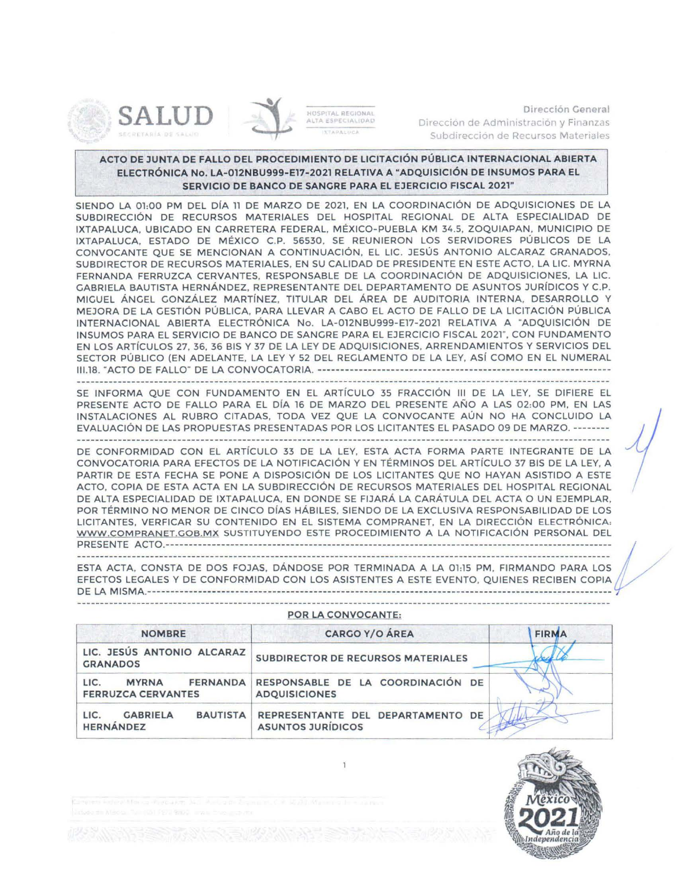



HOSPITAL REGIONAL ALTA ESPECIALIDAD VTADAIDICA

Dirección General Dirección de Administración y Finanzas Subdirección de Recursos Materiales

## ACTO DE JUNTA DE FALLO DEL PROCEDIMIENTO DE LICITACIÓN PÚBLICA INTERNACIONAL ABIERTA ELECTRÓNICA No. LA-012NBU999-E17-2021 RELATIVA A "ADQUISICIÓN DE INSUMOS PARA EL SERVICIO DE BANCO DE SANGRE PARA EL EJERCICIO FISCAL 2021"

SIENDO LA 01:00 PM DEL DÍA 11 DE MARZO DE 2021. EN LA COORDINACIÓN DE ADQUISICIONES DE LA SUBDIRECCIÓN DE RECURSOS MATERIALES DEL HOSPITAL REGIONAL DE ALTA ESPECIALIDAD DE IXTAPALUCA, UBICADO EN CARRETERA FEDERAL, MÉXICO-PUEBLA KM 34.5, ZOQUIAPAN, MUNICIPIO DE IXTAPALUCA, ESTADO DE MÉXICO C.P. 56530, SE REUNIERON LOS SERVIDORES PÚBLICOS DE LA CONVOCANTE QUE SE MENCIONAN A CONTINUACIÓN, EL LIC. JESÚS ANTONIO ALCARAZ GRANADOS, SUBDIRECTOR DE RECURSOS MATERIALES, EN SU CALIDAD DE PRESIDENTE EN ESTE ACTO, LA LIC. MYRNA FERNANDA FERRUZCA CERVANTES, RESPONSABLE DE LA COORDINACIÓN DE ADQUISICIONES, LA LIC. GABRIELA BAUTISTA HERNÁNDEZ, REPRESENTANTE DEL DEPARTAMENTO DE ASUNTOS JURÍDICOS Y C.P. MIGUEL ÁNGEL CONZÁLEZ MARTÍNEZ, TITULAR DEL ÁREA DE AUDITORIA INTERNA, DESARROLLO Y MEJORA DE LA GESTIÓN PÚBLICA, PARA LLEVAR A CABO EL ACTO DE FALLO DE LA LICITACIÓN PÚBLICA INTERNACIONAL ABIERTA ELECTRÓNICA No. LA-012NBU999-E17-2021 RELATIVA A "ADQUISICIÓN DE INSUMOS PARA EL SERVICIO DE BANCO DE SANGRE PARA EL EJERCICIO FISCAL 2021", CON FUNDAMENTO EN LOS ARTÍCULOS 27, 36, 36 BIS Y 37 DE LA LEY DE ADQUISICIONES, ARRENDAMIENTOS Y SERVICIOS DEL SECTOR PÚBLICO (EN ADELANTE, LA LEY Y 52 DEL REGLAMENTO DE LA LEY, ASÍ COMO EN EL NUMERAL 

SE INFORMA QUE CON FUNDAMENTO EN EL ARTÍCULO 35 FRACCIÓN III DE LA LEY, SE DIFIERE EL PRESENTE ACTO DE FALLO PARA EL DÍA 16 DE MARZO DEL PRESENTE AÑO A LAS 02:00 PM, EN LAS INSTALACIONES AL RUBRO CITADAS, TODA VEZ QUE LA CONVOCANTE AÚN NO HA CONCLUIDO LA EVALUACIÓN DE LAS PROPUESTAS PRESENTADAS POR LOS LICITANTES EL PASADO 09 DE MARZO. --------

DE CONFORMIDAD CON EL ARTÍCULO 33 DE LA LEY, ESTA ACTA FORMA PARTE INTEGRANTE DE LA CONVOCATORIA PARA EFECTOS DE LA NOTIFICACIÓN Y EN TÉRMINOS DEL ARTÍCULO 37 BIS DE LA LEY, A PARTIR DE ESTA FECHA SE PONE A DISPOSICIÓN DE LOS LICITANTES QUE NO HAYAN ASISTIDO A ESTE ACTO, COPIA DE ESTA ACTA EN LA SUBDIRECCIÓN DE RECURSOS MATERIALES DEL HOSPITAL REGIONAL DE ALTA ESPECIALIDAD DE IXTAPALUCA. EN DONDE SE FIJARÁ LA CARÁTULA DEL ACTA O UN EJEMPLAR. POR TÉRMINO NO MENOR DE CINCO DÍAS HÁBILES, SIENDO DE LA EXCLUSIVA RESPONSABILIDAD DE LOS LICITANTES, VERFICAR SU CONTENIDO EN EL SISTEMA COMPRANET, EN LA DIRECCIÓN ELECTRÓNICA: WWW.COMPRANET.GOB.MX SUSTITUYENDO ESTE PROCEDIMIENTO A LA NOTIFICACIÓN PERSONAL DEL 

ESTA ACTA, CONSTA DE DOS FOJAS, DÁNDOSE POR TERMINADA A LA 01:15 PM, FIRMANDO PARA LOS EFECTOS LEGALES Y DE CONFORMIDAD CON LOS ASISTENTES A ESTE EVENTO, QUIENES RECIBEN COPIA 

| <b>NOMBRE</b>                                                        | <b>CARGO Y/O ÁREA</b>                                         | <b>FIRMA</b> |
|----------------------------------------------------------------------|---------------------------------------------------------------|--------------|
| LIC. JESÚS ANTONIO ALCARAZ<br><b>GRANADOS</b>                        | <b>SUBDIRECTOR DE RECURSOS MATERIALES</b>                     |              |
| LIC.<br><b>FERNANDA</b><br><b>MYRNA</b><br><b>FERRUZCA CERVANTES</b> | RESPONSABLE DE LA COORDINACIÓN DE<br><b>ADQUISICIONES</b>     |              |
| <b>BAUTISTA</b><br><b>GABRIELA</b><br>LIC.<br><b>HERNÁNDEZ</b>       | REPRESENTANTE DEL DEPARTAMENTO DE<br><b>ASUNTOS JURÍDICOS</b> |              |

## POR LA CONVOCANTE: